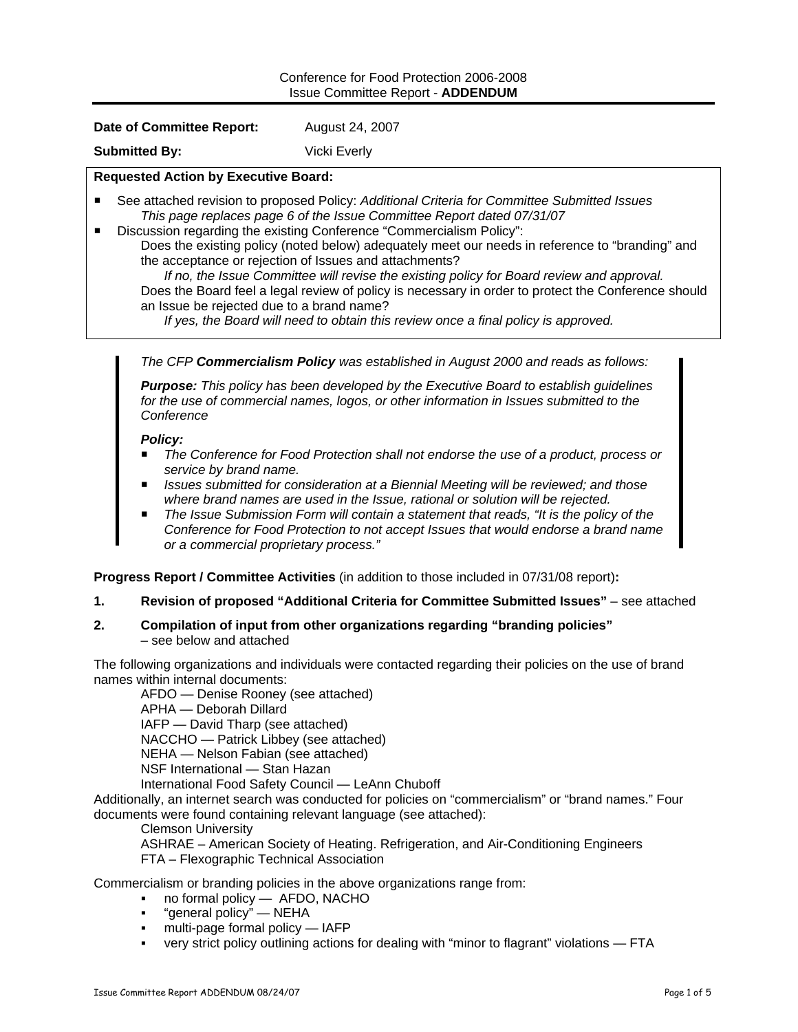### Conference for Food Protection 2006-2008 Issue Committee Report - **ADDENDUM**

#### **Date of Committee Report:** August 24, 2007

**Submitted By:** Vicki Everly

### **Requested Action by Executive Board:**

- See attached revision to proposed Policy: *Additional Criteria for Committee Submitted Issues This page replaces page 6 of the Issue Committee Report dated 07/31/07*
- Discussion regarding the existing Conference "Commercialism Policy": Does the existing policy (noted below) adequately meet our needs in reference to "branding" and the acceptance or rejection of Issues and attachments?

*If no, the Issue Committee will revise the existing policy for Board review and approval.*  Does the Board feel a legal review of policy is necessary in order to protect the Conference should an Issue be rejected due to a brand name?

*If yes, the Board will need to obtain this review once a final policy is approved.* 

*The CFP Commercialism Policy was established in August 2000 and reads as follows:* 

*Purpose: This policy has been developed by the Executive Board to establish guidelines for the use of commercial names, logos, or other information in Issues submitted to the Conference* 

# *Policy:*

- *The Conference for Food Protection shall not endorse the use of a product, process or service by brand name.*
- *Issues submitted for consideration at a Biennial Meeting will be reviewed; and those where brand names are used in the Issue, rational or solution will be rejected.*
- *The Issue Submission Form will contain a statement that reads, "It is the policy of the Conference for Food Protection to not accept Issues that would endorse a brand name or a commercial proprietary process."*

**Progress Report / Committee Activities** (in addition to those included in 07/31/08 report)**:** 

**1. Revision of proposed "Additional Criteria for Committee Submitted Issues"** – see attached

### **2. Compilation of input from other organizations regarding "branding policies"**  – see below and attached

The following organizations and individuals were contacted regarding their policies on the use of brand names within internal documents:

AFDO — Denise Rooney (see attached) APHA — Deborah Dillard IAFP — David Tharp (see attached) NACCHO — Patrick Libbey (see attached) NEHA — Nelson Fabian (see attached) NSF International — Stan Hazan

International Food Safety Council — LeAnn Chuboff

Additionally, an internet search was conducted for policies on "commercialism" or "brand names." Four documents were found containing relevant language (see attached):

Clemson University

ASHRAE – American Society of Heating. Refrigeration, and Air-Conditioning Engineers FTA – Flexographic Technical Association

Commercialism or branding policies in the above organizations range from:

- no formal policy AFDO, NACHO
- "general policy" NEHA
- multi-page formal policy IAFP
- very strict policy outlining actions for dealing with "minor to flagrant" violations FTA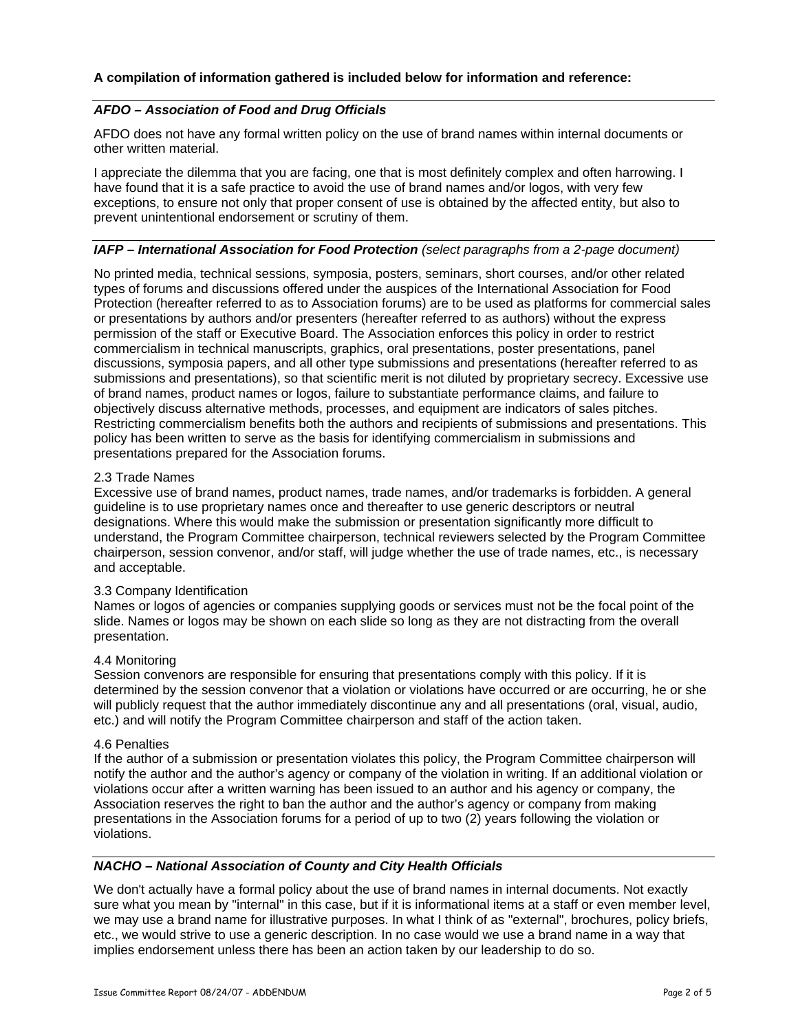### **A compilation of information gathered is included below for information and reference:**

## *AFDO – Association of Food and Drug Officials*

AFDO does not have any formal written policy on the use of brand names within internal documents or other written material.

I appreciate the dilemma that you are facing, one that is most definitely complex and often harrowing. I have found that it is a safe practice to avoid the use of brand names and/or logos, with very few exceptions, to ensure not only that proper consent of use is obtained by the affected entity, but also to prevent unintentional endorsement or scrutiny of them.

#### *IAFP – International Association for Food Protection (select paragraphs from a 2-page document)*

No printed media, technical sessions, symposia, posters, seminars, short courses, and/or other related types of forums and discussions offered under the auspices of the International Association for Food Protection (hereafter referred to as to Association forums) are to be used as platforms for commercial sales or presentations by authors and/or presenters (hereafter referred to as authors) without the express permission of the staff or Executive Board. The Association enforces this policy in order to restrict commercialism in technical manuscripts, graphics, oral presentations, poster presentations, panel discussions, symposia papers, and all other type submissions and presentations (hereafter referred to as submissions and presentations), so that scientific merit is not diluted by proprietary secrecy. Excessive use of brand names, product names or logos, failure to substantiate performance claims, and failure to objectively discuss alternative methods, processes, and equipment are indicators of sales pitches. Restricting commercialism benefits both the authors and recipients of submissions and presentations. This policy has been written to serve as the basis for identifying commercialism in submissions and presentations prepared for the Association forums.

#### 2.3 Trade Names

Excessive use of brand names, product names, trade names, and/or trademarks is forbidden. A general guideline is to use proprietary names once and thereafter to use generic descriptors or neutral designations. Where this would make the submission or presentation significantly more difficult to understand, the Program Committee chairperson, technical reviewers selected by the Program Committee chairperson, session convenor, and/or staff, will judge whether the use of trade names, etc., is necessary and acceptable.

#### 3.3 Company Identification

Names or logos of agencies or companies supplying goods or services must not be the focal point of the slide. Names or logos may be shown on each slide so long as they are not distracting from the overall presentation.

#### 4.4 Monitoring

Session convenors are responsible for ensuring that presentations comply with this policy. If it is determined by the session convenor that a violation or violations have occurred or are occurring, he or she will publicly request that the author immediately discontinue any and all presentations (oral, visual, audio, etc.) and will notify the Program Committee chairperson and staff of the action taken.

#### 4.6 Penalties

If the author of a submission or presentation violates this policy, the Program Committee chairperson will notify the author and the author's agency or company of the violation in writing. If an additional violation or violations occur after a written warning has been issued to an author and his agency or company, the Association reserves the right to ban the author and the author's agency or company from making presentations in the Association forums for a period of up to two (2) years following the violation or violations.

### *NACHO – National Association of County and City Health Officials*

We don't actually have a formal policy about the use of brand names in internal documents. Not exactly sure what you mean by "internal" in this case, but if it is informational items at a staff or even member level, we may use a brand name for illustrative purposes. In what I think of as "external", brochures, policy briefs, etc., we would strive to use a generic description. In no case would we use a brand name in a way that implies endorsement unless there has been an action taken by our leadership to do so.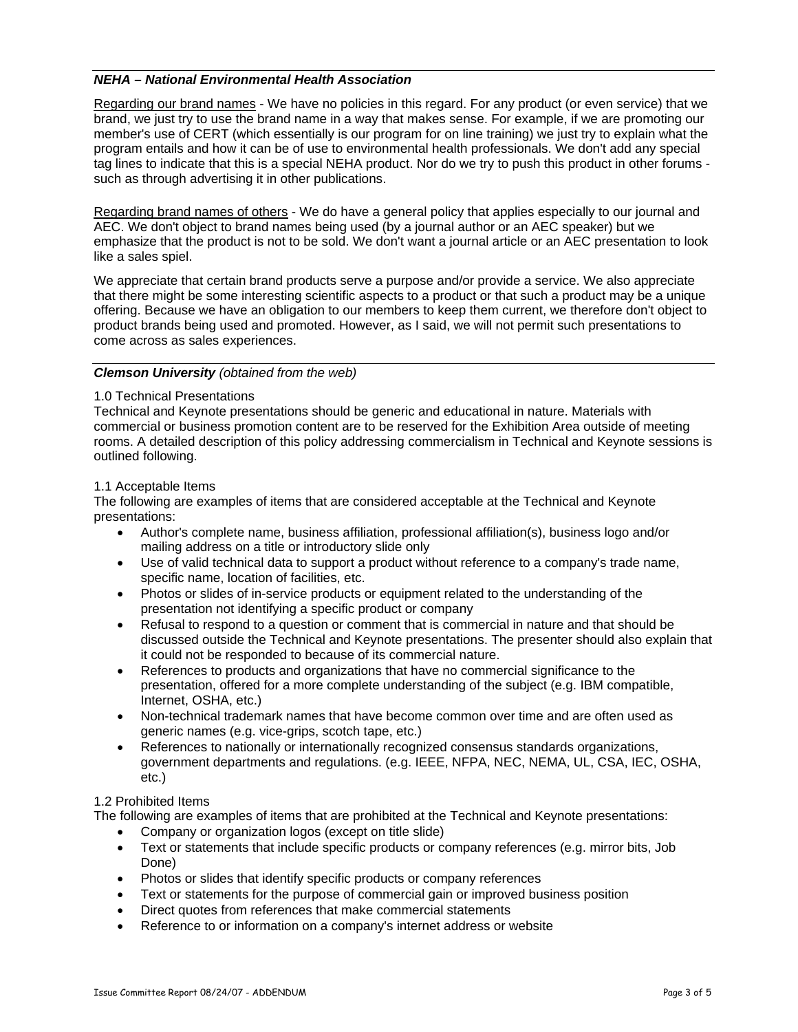# *NEHA – National Environmental Health Association*

Regarding our brand names - We have no policies in this regard. For any product (or even service) that we brand, we just try to use the brand name in a way that makes sense. For example, if we are promoting our member's use of CERT (which essentially is our program for on line training) we just try to explain what the program entails and how it can be of use to environmental health professionals. We don't add any special tag lines to indicate that this is a special NEHA product. Nor do we try to push this product in other forums such as through advertising it in other publications.

Regarding brand names of others - We do have a general policy that applies especially to our journal and AEC. We don't object to brand names being used (by a journal author or an AEC speaker) but we emphasize that the product is not to be sold. We don't want a journal article or an AEC presentation to look like a sales spiel.

We appreciate that certain brand products serve a purpose and/or provide a service. We also appreciate that there might be some interesting scientific aspects to a product or that such a product may be a unique offering. Because we have an obligation to our members to keep them current, we therefore don't object to product brands being used and promoted. However, as I said, we will not permit such presentations to come across as sales experiences.

# *Clemson University (obtained from the web)*

### 1.0 Technical Presentations

Technical and Keynote presentations should be generic and educational in nature. Materials with commercial or business promotion content are to be reserved for the Exhibition Area outside of meeting rooms. A detailed description of this policy addressing commercialism in Technical and Keynote sessions is outlined following.

#### 1.1 Acceptable Items

The following are examples of items that are considered acceptable at the Technical and Keynote presentations:

- Author's complete name, business affiliation, professional affiliation(s), business logo and/or mailing address on a title or introductory slide only
- Use of valid technical data to support a product without reference to a company's trade name, specific name, location of facilities, etc.
- Photos or slides of in-service products or equipment related to the understanding of the presentation not identifying a specific product or company
- Refusal to respond to a question or comment that is commercial in nature and that should be discussed outside the Technical and Keynote presentations. The presenter should also explain that it could not be responded to because of its commercial nature.
- References to products and organizations that have no commercial significance to the presentation, offered for a more complete understanding of the subject (e.g. IBM compatible, Internet, OSHA, etc.)
- Non-technical trademark names that have become common over time and are often used as generic names (e.g. vice-grips, scotch tape, etc.)
- References to nationally or internationally recognized consensus standards organizations, government departments and regulations. (e.g. IEEE, NFPA, NEC, NEMA, UL, CSA, IEC, OSHA, etc.)

### 1.2 Prohibited Items

The following are examples of items that are prohibited at the Technical and Keynote presentations:

- Company or organization logos (except on title slide)
- Text or statements that include specific products or company references (e.g. mirror bits, Job Done)
- Photos or slides that identify specific products or company references
- Text or statements for the purpose of commercial gain or improved business position
- Direct quotes from references that make commercial statements
- Reference to or information on a company's internet address or website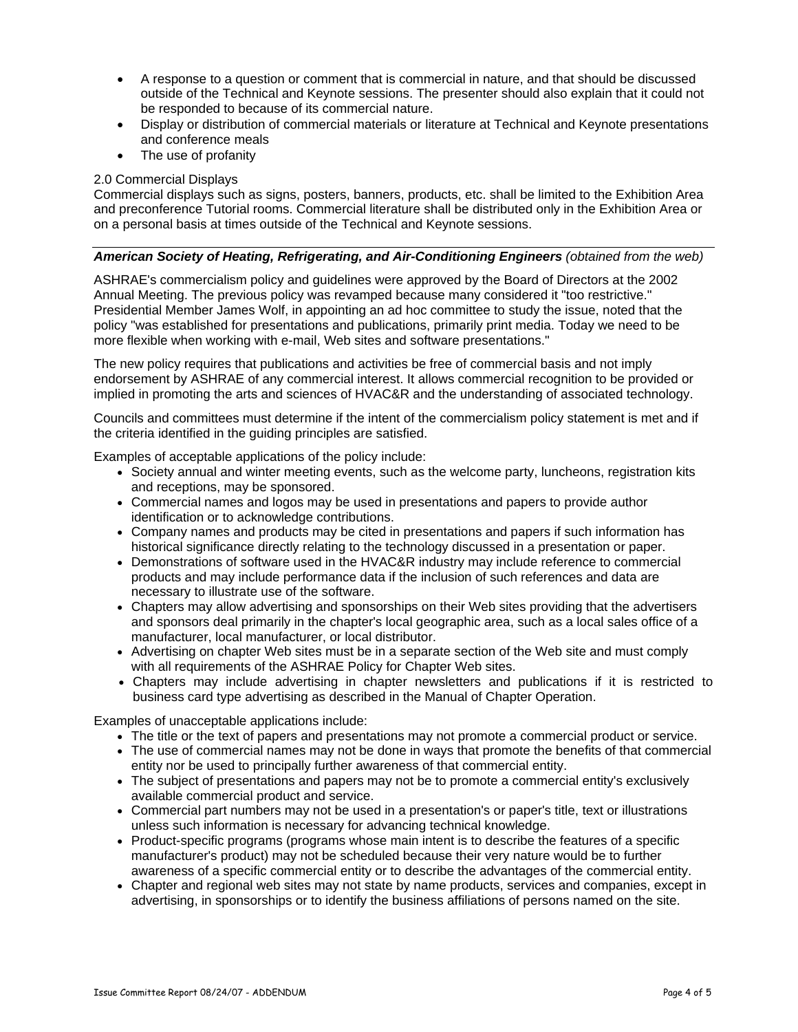- A response to a question or comment that is commercial in nature, and that should be discussed outside of the Technical and Keynote sessions. The presenter should also explain that it could not be responded to because of its commercial nature.
- Display or distribution of commercial materials or literature at Technical and Keynote presentations and conference meals
- The use of profanity

## 2.0 Commercial Displays

Commercial displays such as signs, posters, banners, products, etc. shall be limited to the Exhibition Area and preconference Tutorial rooms. Commercial literature shall be distributed only in the Exhibition Area or on a personal basis at times outside of the Technical and Keynote sessions.

# *American Society of Heating, Refrigerating, and Air-Conditioning Engineers (obtained from the web)*

ASHRAE's commercialism policy and guidelines were approved by the Board of Directors at the 2002 Annual Meeting. The previous policy was revamped because many considered it "too restrictive." Presidential Member James Wolf, in appointing an ad hoc committee to study the issue, noted that the policy "was established for presentations and publications, primarily print media. Today we need to be more flexible when working with e-mail, Web sites and software presentations."

The new policy requires that publications and activities be free of commercial basis and not imply endorsement by ASHRAE of any commercial interest. It allows commercial recognition to be provided or implied in promoting the arts and sciences of HVAC&R and the understanding of associated technology.

Councils and committees must determine if the intent of the commercialism policy statement is met and if the criteria identified in the guiding principles are satisfied.

Examples of acceptable applications of the policy include:

- Society annual and winter meeting events, such as the welcome party, luncheons, registration kits and receptions, may be sponsored.
- Commercial names and logos may be used in presentations and papers to provide author identification or to acknowledge contributions.
- Company names and products may be cited in presentations and papers if such information has historical significance directly relating to the technology discussed in a presentation or paper.
- Demonstrations of software used in the HVAC&R industry may include reference to commercial products and may include performance data if the inclusion of such references and data are necessary to illustrate use of the software.
- Chapters may allow advertising and sponsorships on their Web sites providing that the advertisers and sponsors deal primarily in the chapter's local geographic area, such as a local sales office of a manufacturer, local manufacturer, or local distributor.
- Advertising on chapter Web sites must be in a separate section of the Web site and must comply with all requirements of the ASHRAE Policy for Chapter Web sites.
- Chapters may include advertising in chapter newsletters and publications if it is restricted to business card type advertising as described in the Manual of Chapter Operation.

Examples of unacceptable applications include:

- The title or the text of papers and presentations may not promote a commercial product or service.
- The use of commercial names may not be done in ways that promote the benefits of that commercial entity nor be used to principally further awareness of that commercial entity.
- The subject of presentations and papers may not be to promote a commercial entity's exclusively available commercial product and service.
- Commercial part numbers may not be used in a presentation's or paper's title, text or illustrations unless such information is necessary for advancing technical knowledge.
- Product-specific programs (programs whose main intent is to describe the features of a specific manufacturer's product) may not be scheduled because their very nature would be to further awareness of a specific commercial entity or to describe the advantages of the commercial entity.
- Chapter and regional web sites may not state by name products, services and companies, except in advertising, in sponsorships or to identify the business affiliations of persons named on the site.